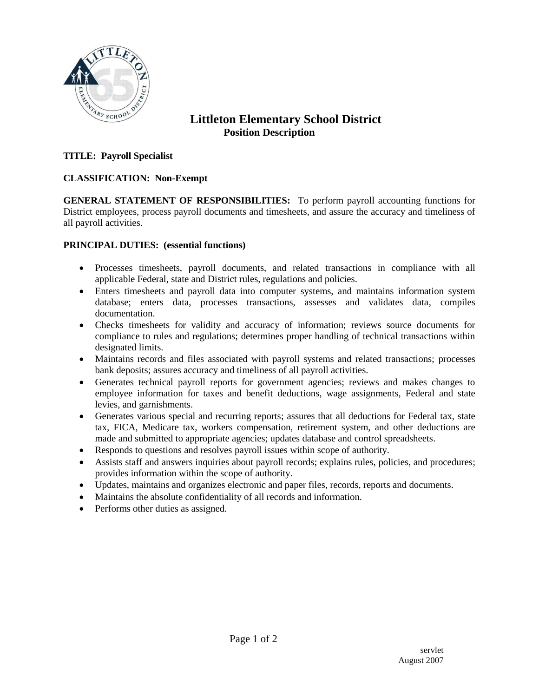

# **Littleton Elementary School District Position Description**

### **TITLE: Payroll Specialist**

#### **CLASSIFICATION: Non-Exempt**

**GENERAL STATEMENT OF RESPONSIBILITIES:** To perform payroll accounting functions for District employees, process payroll documents and timesheets, and assure the accuracy and timeliness of all payroll activities.

#### **PRINCIPAL DUTIES: (essential functions)**

- Processes timesheets, payroll documents, and related transactions in compliance with all applicable Federal, state and District rules, regulations and policies.
- Enters timesheets and payroll data into computer systems, and maintains information system database; enters data, processes transactions, assesses and validates data, compiles documentation.
- Checks timesheets for validity and accuracy of information; reviews source documents for compliance to rules and regulations; determines proper handling of technical transactions within designated limits.
- Maintains records and files associated with payroll systems and related transactions; processes bank deposits; assures accuracy and timeliness of all payroll activities.
- Generates technical payroll reports for government agencies; reviews and makes changes to employee information for taxes and benefit deductions, wage assignments, Federal and state levies, and garnishments.
- Generates various special and recurring reports; assures that all deductions for Federal tax, state tax, FICA, Medicare tax, workers compensation, retirement system, and other deductions are made and submitted to appropriate agencies; updates database and control spreadsheets.
- Responds to questions and resolves payroll issues within scope of authority.
- Assists staff and answers inquiries about payroll records; explains rules, policies, and procedures; provides information within the scope of authority.
- Updates, maintains and organizes electronic and paper files, records, reports and documents.
- Maintains the absolute confidentiality of all records and information.
- Performs other duties as assigned.